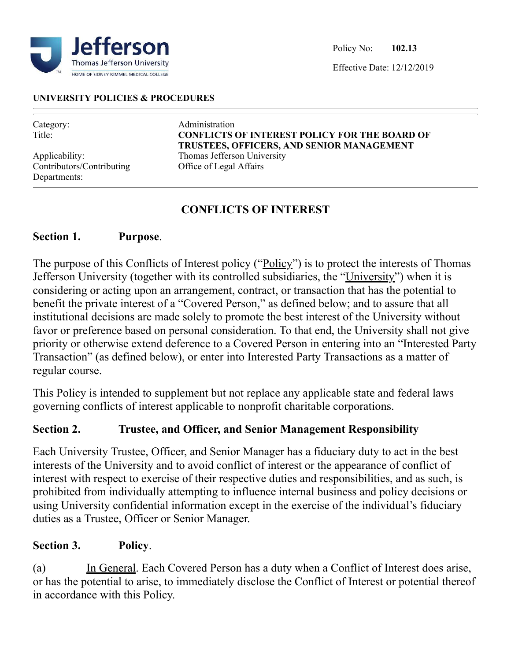

Effective Date: 12/12/2019

#### **UNIVERSITY POLICIES & PROCEDURES**

| Category:<br>Title:       | Administration<br><b>CONFLICTS OF INTEREST POLICY FOR THE BOARD OF</b><br>TRUSTEES, OFFICERS, AND SENIOR MANAGEMENT |
|---------------------------|---------------------------------------------------------------------------------------------------------------------|
| Applicability:            | Thomas Jefferson University                                                                                         |
| Contributors/Contributing | Office of Legal Affairs                                                                                             |
| Departments:              |                                                                                                                     |

### **CONFLICTS OF INTEREST**

### **Section 1. Purpose**.

The purpose of this Conflicts of Interest policy ("Policy") is to protect the interests of Thomas Jefferson University (together with its controlled subsidiaries, the "University") when it is considering or acting upon an arrangement, contract, or transaction that has the potential to benefit the private interest of a "Covered Person," as defined below; and to assure that all institutional decisions are made solely to promote the best interest of the University without favor or preference based on personal consideration. To that end, the University shall not give priority or otherwise extend deference to a Covered Person in entering into an "Interested Party Transaction" (as defined below), or enter into Interested Party Transactions as a matter of regular course.

This Policy is intended to supplement but not replace any applicable state and federal laws governing conflicts of interest applicable to nonprofit charitable corporations.

### **Section 2. Trustee, and Officer, and Senior Management Responsibility**

Each University Trustee, Officer, and Senior Manager has a fiduciary duty to act in the best interests of the University and to avoid conflict of interest or the appearance of conflict of interest with respect to exercise of their respective duties and responsibilities, and as such, is prohibited from individually attempting to influence internal business and policy decisions or using University confidential information except in the exercise of the individual's fiduciary duties as a Trustee, Officer or Senior Manager.

### **Section 3. Policy**.

(a) In General. Each Covered Person has a duty when a Conflict of Interest does arise, or has the potential to arise, to immediately disclose the Conflict of Interest or potential thereof in accordance with this Policy.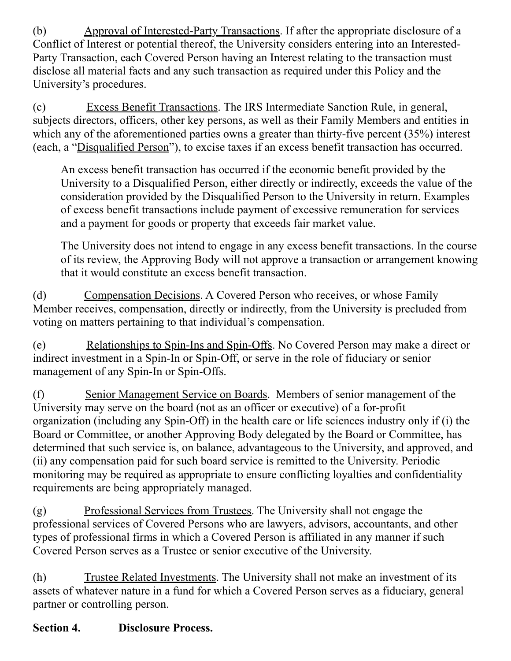(b) Approval of Interested-Party Transactions. If after the appropriate disclosure of a Conflict of Interest or potential thereof, the University considers entering into an Interested-Party Transaction, each Covered Person having an Interest relating to the transaction must disclose all material facts and any such transaction as required under this Policy and the University's procedures.

(c) Excess Benefit Transactions. The IRS Intermediate Sanction Rule, in general, subjects directors, officers, other key persons, as well as their Family Members and entities in which any of the aforementioned parties owns a greater than thirty-five percent (35%) interest (each, a "Disqualified Person"), to excise taxes if an excess benefit transaction has occurred.

An excess benefit transaction has occurred if the economic benefit provided by the University to a Disqualified Person, either directly or indirectly, exceeds the value of the consideration provided by the Disqualified Person to the University in return. Examples of excess benefit transactions include payment of excessive remuneration for services and a payment for goods or property that exceeds fair market value.

The University does not intend to engage in any excess benefit transactions. In the course of its review, the Approving Body will not approve a transaction or arrangement knowing that it would constitute an excess benefit transaction.

(d) Compensation Decisions. A Covered Person who receives, or whose Family Member receives, compensation, directly or indirectly, from the University is precluded from voting on matters pertaining to that individual's compensation.

(e) Relationships to Spin-Ins and Spin-Offs. No Covered Person may make a direct or indirect investment in a Spin-In or Spin-Off, or serve in the role of fiduciary or senior management of any Spin-In or Spin-Offs.

(f) Senior Management Service on Boards. Members of senior management of the University may serve on the board (not as an officer or executive) of a for-profit organization (including any Spin-Off) in the health care or life sciences industry only if (i) the Board or Committee, or another Approving Body delegated by the Board or Committee, has determined that such service is, on balance, advantageous to the University, and approved, and (ii) any compensation paid for such board service is remitted to the University. Periodic monitoring may be required as appropriate to ensure conflicting loyalties and confidentiality requirements are being appropriately managed.

(g) Professional Services from Trustees. The University shall not engage the professional services of Covered Persons who are lawyers, advisors, accountants, and other types of professional firms in which a Covered Person is affiliated in any manner if such Covered Person serves as a Trustee or senior executive of the University.

(h) Trustee Related Investments. The University shall not make an investment of its assets of whatever nature in a fund for which a Covered Person serves as a fiduciary, general partner or controlling person.

# **Section 4. Disclosure Process.**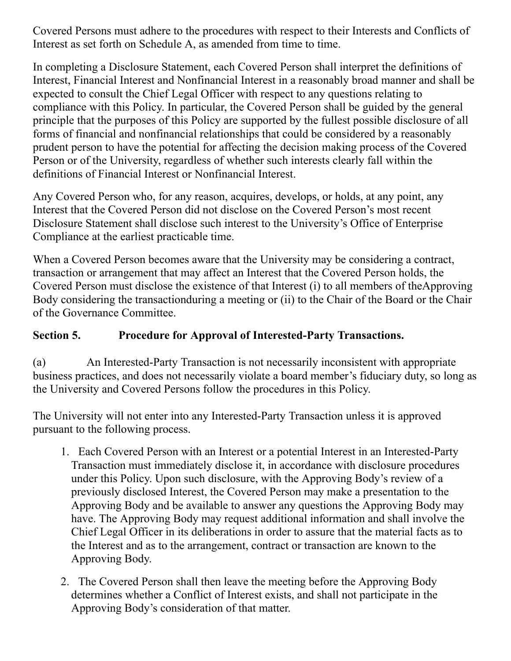Covered Persons must adhere to the procedures with respect to their Interests and Conflicts of Interest as set forth on Schedule A, as amended from time to time.

In completing a Disclosure Statement, each Covered Person shall interpret the definitions of Interest, Financial Interest and Nonfinancial Interest in a reasonably broad manner and shall be expected to consult the Chief Legal Officer with respect to any questions relating to compliance with this Policy. In particular, the Covered Person shall be guided by the general principle that the purposes of this Policy are supported by the fullest possible disclosure of all forms of financial and nonfinancial relationships that could be considered by a reasonably prudent person to have the potential for affecting the decision making process of the Covered Person or of the University, regardless of whether such interests clearly fall within the definitions of Financial Interest or Nonfinancial Interest.

Any Covered Person who, for any reason, acquires, develops, or holds, at any point, any Interest that the Covered Person did not disclose on the Covered Person's most recent Disclosure Statement shall disclose such interest to the University's Office of Enterprise Compliance at the earliest practicable time.

When a Covered Person becomes aware that the University may be considering a contract, transaction or arrangement that may affect an Interest that the Covered Person holds, the Covered Person must disclose the existence of that Interest (i) to all members of theApproving Body considering the transactionduring a meeting or (ii) to the Chair of the Board or the Chair of the Governance Committee.

### **Section 5. Procedure for Approval of Interested-Party Transactions.**

(a) An Interested-Party Transaction is not necessarily inconsistent with appropriate business practices, and does not necessarily violate a board member's fiduciary duty, so long as the University and Covered Persons follow the procedures in this Policy.

The University will not enter into any Interested-Party Transaction unless it is approved pursuant to the following process.

- 1. Each Covered Person with an Interest or a potential Interest in an Interested-Party Transaction must immediately disclose it, in accordance with disclosure procedures under this Policy. Upon such disclosure, with the Approving Body's review of a previously disclosed Interest, the Covered Person may make a presentation to the Approving Body and be available to answer any questions the Approving Body may have. The Approving Body may request additional information and shall involve the Chief Legal Officer in its deliberations in order to assure that the material facts as to the Interest and as to the arrangement, contract or transaction are known to the Approving Body.
- 2. The Covered Person shall then leave the meeting before the Approving Body determines whether a Conflict of Interest exists, and shall not participate in the Approving Body's consideration of that matter.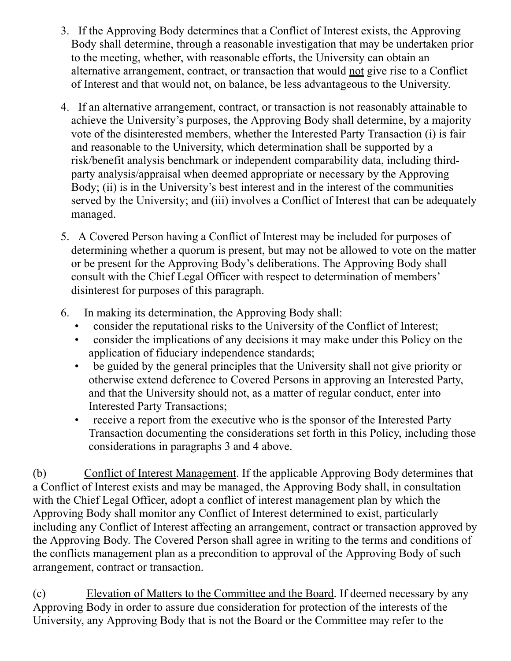- 3. If the Approving Body determines that a Conflict of Interest exists, the Approving Body shall determine, through a reasonable investigation that may be undertaken prior to the meeting, whether, with reasonable efforts, the University can obtain an alternative arrangement, contract, or transaction that would not give rise to a Conflict of Interest and that would not, on balance, be less advantageous to the University.
- 4. If an alternative arrangement, contract, or transaction is not reasonably attainable to achieve the University's purposes, the Approving Body shall determine, by a majority vote of the disinterested members, whether the Interested Party Transaction (i) is fair and reasonable to the University, which determination shall be supported by a risk/benefit analysis benchmark or independent comparability data, including thirdparty analysis/appraisal when deemed appropriate or necessary by the Approving Body; (ii) is in the University's best interest and in the interest of the communities served by the University; and (iii) involves a Conflict of Interest that can be adequately managed.
- 5. A Covered Person having a Conflict of Interest may be included for purposes of determining whether a quorum is present, but may not be allowed to vote on the matter or be present for the Approving Body's deliberations. The Approving Body shall consult with the Chief Legal Officer with respect to determination of members' disinterest for purposes of this paragraph.
- 6. In making its determination, the Approving Body shall:
	- consider the reputational risks to the University of the Conflict of Interest;
	- consider the implications of any decisions it may make under this Policy on the application of fiduciary independence standards;
	- be guided by the general principles that the University shall not give priority or otherwise extend deference to Covered Persons in approving an Interested Party, and that the University should not, as a matter of regular conduct, enter into Interested Party Transactions;
	- receive a report from the executive who is the sponsor of the Interested Party Transaction documenting the considerations set forth in this Policy, including those considerations in paragraphs 3 and 4 above.

(b) Conflict of Interest Management. If the applicable Approving Body determines that a Conflict of Interest exists and may be managed, the Approving Body shall, in consultation with the Chief Legal Officer, adopt a conflict of interest management plan by which the Approving Body shall monitor any Conflict of Interest determined to exist, particularly including any Conflict of Interest affecting an arrangement, contract or transaction approved by the Approving Body. The Covered Person shall agree in writing to the terms and conditions of the conflicts management plan as a precondition to approval of the Approving Body of such arrangement, contract or transaction.

(c) Elevation of Matters to the Committee and the Board. If deemed necessary by any Approving Body in order to assure due consideration for protection of the interests of the University, any Approving Body that is not the Board or the Committee may refer to the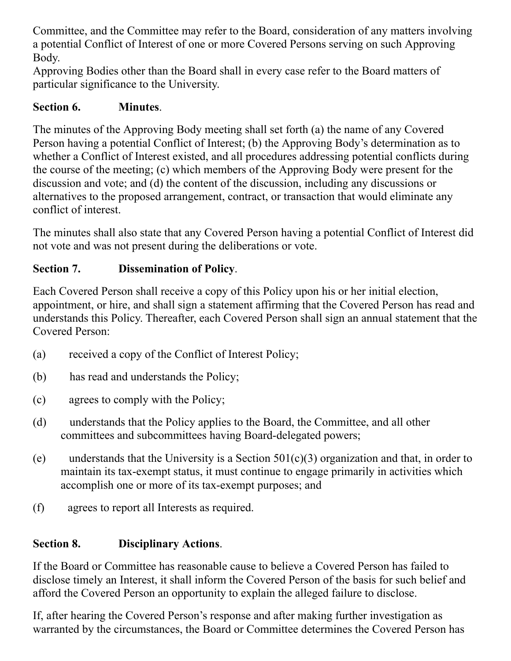Committee, and the Committee may refer to the Board, consideration of any matters involving a potential Conflict of Interest of one or more Covered Persons serving on such Approving Body.

Approving Bodies other than the Board shall in every case refer to the Board matters of particular significance to the University.

## **Section 6. Minutes**.

The minutes of the Approving Body meeting shall set forth (a) the name of any Covered Person having a potential Conflict of Interest; (b) the Approving Body's determination as to whether a Conflict of Interest existed, and all procedures addressing potential conflicts during the course of the meeting; (c) which members of the Approving Body were present for the discussion and vote; and (d) the content of the discussion, including any discussions or alternatives to the proposed arrangement, contract, or transaction that would eliminate any conflict of interest.

The minutes shall also state that any Covered Person having a potential Conflict of Interest did not vote and was not present during the deliberations or vote.

# **Section 7. Dissemination of Policy**.

Each Covered Person shall receive a copy of this Policy upon his or her initial election, appointment, or hire, and shall sign a statement affirming that the Covered Person has read and understands this Policy. Thereafter, each Covered Person shall sign an annual statement that the Covered Person:

- (a) received a copy of the Conflict of Interest Policy;
- (b) has read and understands the Policy;
- (c) agrees to comply with the Policy;
- (d) understands that the Policy applies to the Board, the Committee, and all other committees and subcommittees having Board-delegated powers;
- (e) understands that the University is a Section  $501(c)(3)$  organization and that, in order to maintain its tax-exempt status, it must continue to engage primarily in activities which accomplish one or more of its tax-exempt purposes; and
- (f) agrees to report all Interests as required.

# **Section 8. Disciplinary Actions**.

If the Board or Committee has reasonable cause to believe a Covered Person has failed to disclose timely an Interest, it shall inform the Covered Person of the basis for such belief and afford the Covered Person an opportunity to explain the alleged failure to disclose.

If, after hearing the Covered Person's response and after making further investigation as warranted by the circumstances, the Board or Committee determines the Covered Person has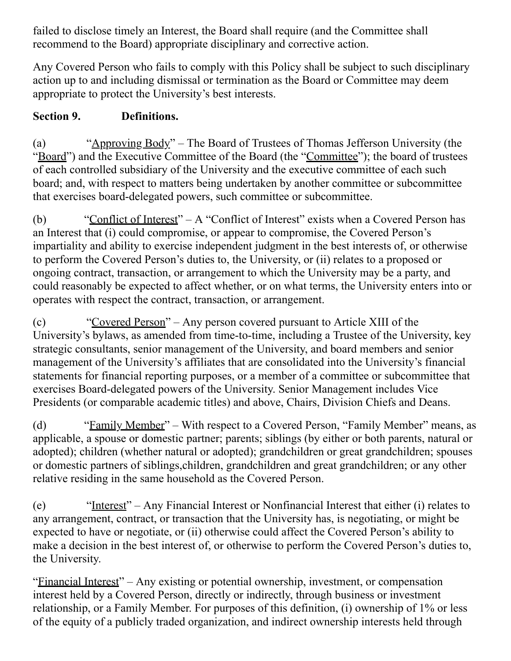failed to disclose timely an Interest, the Board shall require (and the Committee shall recommend to the Board) appropriate disciplinary and corrective action.

Any Covered Person who fails to comply with this Policy shall be subject to such disciplinary action up to and including dismissal or termination as the Board or Committee may deem appropriate to protect the University's best interests.

## **Section 9. Definitions.**

(a) "Approving Body" – The Board of Trustees of Thomas Jefferson University (the "Board") and the Executive Committee of the Board (the "Committee"); the board of trustees of each controlled subsidiary of the University and the executive committee of each such board; and, with respect to matters being undertaken by another committee or subcommittee that exercises board-delegated powers, such committee or subcommittee.

(b) "Conflict of Interest" – A "Conflict of Interest" exists when a Covered Person has an Interest that (i) could compromise, or appear to compromise, the Covered Person's impartiality and ability to exercise independent judgment in the best interests of, or otherwise to perform the Covered Person's duties to, the University, or (ii) relates to a proposed or ongoing contract, transaction, or arrangement to which the University may be a party, and could reasonably be expected to affect whether, or on what terms, the University enters into or operates with respect the contract, transaction, or arrangement.

(c) "Covered Person" – Any person covered pursuant to Article XIII of the University's bylaws, as amended from time-to-time, including a Trustee of the University, key strategic consultants, senior management of the University, and board members and senior management of the University's affiliates that are consolidated into the University's financial statements for financial reporting purposes, or a member of a committee or subcommittee that exercises Board-delegated powers of the University. Senior Management includes Vice Presidents (or comparable academic titles) and above, Chairs, Division Chiefs and Deans.

(d) "Family Member" – With respect to a Covered Person, "Family Member" means, as applicable, a spouse or domestic partner; parents; siblings (by either or both parents, natural or adopted); children (whether natural or adopted); grandchildren or great grandchildren; spouses or domestic partners of siblings,children, grandchildren and great grandchildren; or any other relative residing in the same household as the Covered Person.

(e) "Interest" – Any Financial Interest or Nonfinancial Interest that either (i) relates to any arrangement, contract, or transaction that the University has, is negotiating, or might be expected to have or negotiate, or (ii) otherwise could affect the Covered Person's ability to make a decision in the best interest of, or otherwise to perform the Covered Person's duties to, the University.

"Financial Interest" – Any existing or potential ownership, investment, or compensation interest held by a Covered Person, directly or indirectly, through business or investment relationship, or a Family Member. For purposes of this definition, (i) ownership of 1% or less of the equity of a publicly traded organization, and indirect ownership interests held through